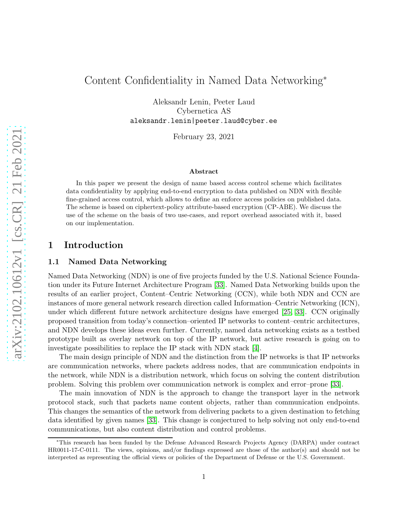# Content Confidentiality in Named Data Networking<sup>∗</sup>

Aleksandr Lenin, Peeter Laud Cybernetica AS aleksandr.lenin|peeter.laud@cyber.ee

February 23, 2021

#### Abstract

In this paper we present the design of name based access control scheme which facilitates data confidentiality by applying end-to-end encryption to data published on NDN with flexible fine-grained access control, which allows to define an enforce access policies on published data. The scheme is based on ciphertext-policy attribute-based encryption (CP-ABE). We discuss the use of the scheme on the basis of two use-cases, and report overhead associated with it, based on our implementation.

### 1 Introduction

#### 1.1 Named Data Networking

Named Data Networking (NDN) is one of five projects funded by the U.S. National Science Foundation under its Future Internet Architecture Program [\[33\]](#page-19-0). Named Data Networking builds upon the results of an earlier project, Content–Centric Networking (CCN), while both NDN and CCN are instances of more general network research direction called Information–Centric Networking (ICN), under which different future network architecture designs have emerged [\[25,](#page-18-0) [33\]](#page-19-0). CCN originally proposed transition from today's connection–oriented IP networks to content–centric architectures, and NDN develops these ideas even further. Currently, named data networking exists as a testbed prototype built as overlay network on top of the IP network, but active research is going on to investigate possibilities to replace the IP stack with NDN stack [\[4\]](#page-17-0).

The main design principle of NDN and the distinction from the IP networks is that IP networks are communication networks, where packets address nodes, that are communication endpoints in the network, while NDN is a distribution network, which focus on solving the content distribution problem. Solving this problem over communication network is complex and error–prone [\[33\]](#page-19-0).

The main innovation of NDN is the approach to change the transport layer in the network protocol stack, such that packets name content objects, rather than communication endpoints. This changes the semantics of the network from delivering packets to a given destination to fetching data identified by given names [\[33\]](#page-19-0). This change is conjectured to help solving not only end-to-end communications, but also content distribution and control problems.

<sup>∗</sup>This research has been funded by the Defense Advanced Research Projects Agency (DARPA) under contract HR0011-17-C-0111. The views, opinions, and/or findings expressed are those of the author(s) and should not be interpreted as representing the official views or policies of the Department of Defense or the U.S. Government.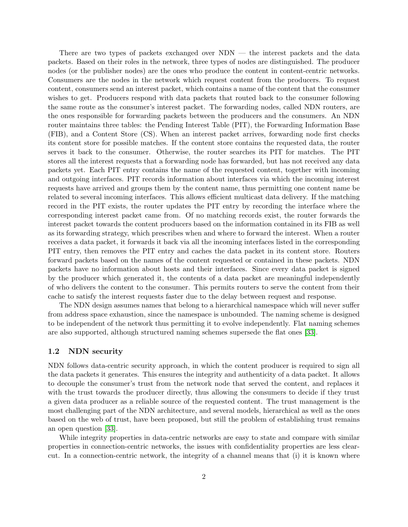There are two types of packets exchanged over NDN — the interest packets and the data packets. Based on their roles in the network, three types of nodes are distinguished. The producer nodes (or the publisher nodes) are the ones who produce the content in content-centric networks. Consumers are the nodes in the network which request content from the producers. To request content, consumers send an interest packet, which contains a name of the content that the consumer wishes to get. Producers respond with data packets that routed back to the consumer following the same route as the consumer's interest packet. The forwarding nodes, called NDN routers, are the ones responsible for forwarding packets between the producers and the consumers. An NDN router maintains three tables: the Pending Interest Table (PIT), the Forwarding Information Base (FIB), and a Content Store (CS). When an interest packet arrives, forwarding node first checks its content store for possible matches. If the content store contains the requested data, the router serves it back to the consumer. Otherwise, the router searches its PIT for matches. The PIT stores all the interest requests that a forwarding node has forwarded, but has not received any data packets yet. Each PIT entry contains the name of the requested content, together with incoming and outgoing interfaces. PIT records information about interfaces via which the incoming interest requests have arrived and groups them by the content name, thus permitting one content name be related to several incoming interfaces. This allows efficient multicast data delivery. If the matching record in the PIT exists, the router updates the PIT entry by recording the interface where the corresponding interest packet came from. Of no matching records exist, the router forwards the interest packet towards the content producers based on the information contained in its FIB as well as its forwarding strategy, which prescribes when and where to forward the interest. When a router receives a data packet, it forwards it back via all the incoming interfaces listed in the corresponding PIT entry, then removes the PIT entry and caches the data packet in its content store. Routers forward packets based on the names of the content requested or contained in these packets. NDN packets have no information about hosts and their interfaces. Since every data packet is signed by the producer which generated it, the contents of a data packet are meaningful independently of who delivers the content to the consumer. This permits routers to serve the content from their cache to satisfy the interest requests faster due to the delay between request and response.

The NDN design assumes names that belong to a hierarchical namespace which will never suffer from address space exhaustion, since the namespace is unbounded. The naming scheme is designed to be independent of the network thus permitting it to evolve independently. Flat naming schemes are also supported, although structured naming schemes supersede the flat ones [\[33\]](#page-19-0).

#### 1.2 NDN security

NDN follows data-centric security approach, in which the content producer is required to sign all the data packets it generates. This ensures the integrity and authenticity of a data packet. It allows to decouple the consumer's trust from the network node that served the content, and replaces it with the trust towards the producer directly, thus allowing the consumers to decide if they trust a given data producer as a reliable source of the requested content. The trust management is the most challenging part of the NDN architecture, and several models, hierarchical as well as the ones based on the web of trust, have been proposed, but still the problem of establishing trust remains an open question [\[33\]](#page-19-0).

While integrity properties in data-centric networks are easy to state and compare with similar properties in connection-centric networks, the issues with confidentiality properties are less clearcut. In a connection-centric network, the integrity of a channel means that (i) it is known where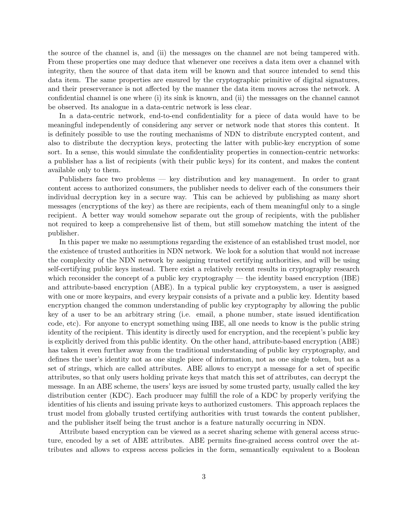the source of the channel is, and (ii) the messages on the channel are not being tampered with. From these properties one may deduce that whenever one receives a data item over a channel with integrity, then the source of that data item will be known and that source intended to send this data item. The same properties are ensured by the cryptographic primitive of digital signatures, and their preserverance is not affected by the manner the data item moves across the network. A confidential channel is one where (i) its sink is known, and (ii) the messages on the channel cannot be observed. Its analogue in a data-centric network is less clear.

In a data-centric network, end-to-end confidentiality for a piece of data would have to be meaningful independently of considering any server or network node that stores this content. It is definitely possible to use the routing mechanisms of NDN to distribute encrypted content, and also to distribute the decryption keys, protecting the latter with public-key encryption of some sort. In a sense, this would simulate the confidentiality properties in connection-centric networks: a publisher has a list of recipients (with their public keys) for its content, and makes the content available only to them.

Publishers face two problems — key distribution and key management. In order to grant content access to authorized consumers, the publisher needs to deliver each of the consumers their individual decryption key in a secure way. This can be achieved by publishing as many short messages (encryptions of the key) as there are recipients, each of them meaningful only to a single recipient. A better way would somehow separate out the group of recipients, with the publisher not required to keep a comprehensive list of them, but still somehow matching the intent of the publisher.

In this paper we make no assumptions regarding the existence of an established trust model, nor the existence of trusted authorities in NDN network. We look for a solution that would not increase the complexity of the NDN network by assigning trusted certifying authorities, and will be using self-certifying public keys instead. There exist a relatively recent results in cryptography research which reconsider the concept of a public key cryptography — the identity based encryption  $(IBE)$ and attribute-based encryption (ABE). In a typical public key cryptosystem, a user is assigned with one or more keypairs, and every keypair consists of a private and a public key. Identity based encryption changed the common understanding of public key cryptography by allowing the public key of a user to be an arbitrary string (i.e. email, a phone number, state issued identification code, etc). For anyone to encrypt something using IBE, all one needs to know is the public string identity of the recipient. This identity is directly used for encryption, and the recepient's public key is explicitly derived from this public identity. On the other hand, attribute-based encryption (ABE) has taken it even further away from the traditional understanding of public key cryptography, and defines the user's identity not as one single piece of information, not as one single token, but as a set of strings, which are called attributes. ABE allows to encrypt a message for a set of specific attributes, so that only users holding private keys that match this set of attributes, can decrypt the message. In an ABE scheme, the users' keys are issued by some trusted party, usually called the key distribution center (KDC). Each producer may fulfill the role of a KDC by properly verifying the identities of his clients and issuing private keys to authorized customers. This approach replaces the trust model from globally trusted certifying authorities with trust towards the content publisher, and the publisher itself being the trust anchor is a feature naturally occurring in NDN.

Attribute based encryption can be viewed as a secret sharing scheme with general access structure, encoded by a set of ABE attributes. ABE permits fine-grained access control over the attributes and allows to express access policies in the form, semantically equivalent to a Boolean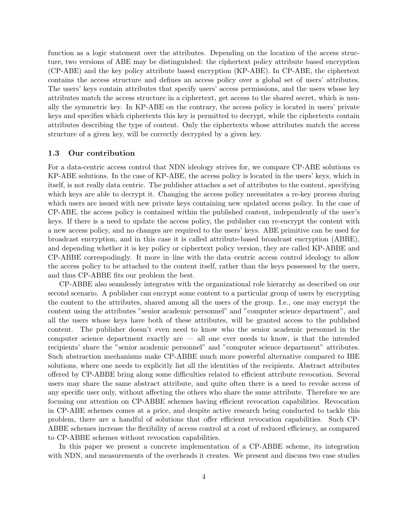function as a logic statement over the attributes. Depending on the location of the access structure, two versions of ABE may be distinguished: the ciphertext policy attribute based encryption (CP-ABE) and the key policy attribute based encryption (KP-ABE). In CP-ABE, the ciphertext contains the access structure and defines an access policy over a global set of users' attributes. The users' keys contain attributes that specify users' access permissions, and the users whose key attributes match the access structure in a ciphertext, get access to the shared secret, which is usually the symmetric key. In KP-ABE on the contrary, the access policy is located in users' private keys and specifies which ciphertexts this key is permitted to decrypt, while the ciphertexts contain attributes describing the type of content. Only the ciphertexts whose attributes match the access structure of a given key, will be correctly decrypted by a given key.

#### 1.3 Our contribution

For a data-centric access control that NDN ideology strives for, we compare CP-ABE solutions vs KP-ABE solutions. In the case of KP-ABE, the access policy is located in the users' keys, which in itself, is not really data centric. The publisher attaches a set of attributes to the content, specifying which keys are able to decrypt it. Changing the access policy necessitates a re-key process during which users are issued with new private keys containing new updated access policy. In the case of CP-ABE, the access policy is contained within the published content, independently of the user's keys. If there is a need to update the access policy, the publisher can re-encrypt the content with a new access policy, and no changes are required to the users' keys. ABE primitive can be used for broadcast encryption, and in this case it is called attribute-based broadcast encryption (ABBE), and depending whether it is key policy or ciphertext policy version, they are called KP-ABBE and CP-ABBE correspodingly. It more in–line with the data–centric access control ideology to allow the access policy to be attached to the content itself, rather than the keys possessed by the users, and thus CP-ABBE fits our problem the best.

CP-ABBE also seamlessly integrates with the organizational role hierarchy as described on our second scenario. A publisher can encrypt some content to a particular group of users by encrypting the content to the attributes, shared among all the users of the group. I.e., one may encrypt the content using the attributes "senior academic personnel" and "computer science department", and all the users whose keys have both of these attributes, will be granted access to the published content. The publisher doesn't even need to know who the senior academic personnel in the computer science department exactly are — all one ever needs to know, is that the intended recipients' share the "senior academic personnel" and "computer science department" attributes. Such abstraction mechanisms make CP-ABBE much more powerful alternative compared to IBE solutions, where one needs to explicitly list all the identities of the recipients. Abstract attributes offered by CP-ABBE bring along some difficulties related to efficient attribute revocation. Several users may share the same abstract attribute, and quite often there is a need to revoke access of any specific user only, without affecting the others who share the same attribute. Therefore we are focusing our attention on CP-ABBE schemes having efficient revocation capabilities. Revocation in CP-ABE schemes comes at a price, and despite active research being conducted to tackle this problem, there are a handful of solutions that offer efficient revocation capabilities. Such CP-ABBE schemes increase the flexibility of access control at a cost of reduced efficiency, as compared to CP-ABBE schemes without revocation capabilities.

In this paper we present a concrete implementation of a CP-ABBE scheme, its integration with NDN, and measurements of the overheads it creates. We present and discuss two case studies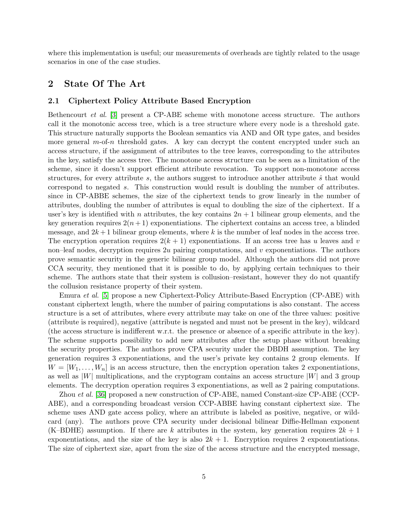where this implementation is useful; our measurements of overheads are tightly related to the usage scenarios in one of the case studies.

### 2 State Of The Art

#### 2.1 Ciphertext Policy Attribute Based Encryption

Bethencourt *et al.* [\[3\]](#page-17-1) present a CP-ABE scheme with monotone access structure. The authors call it the monotonic access tree, which is a tree structure where every node is a threshold gate. This structure naturally supports the Boolean semantics via AND and OR type gates, and besides more general m-of-n threshold gates. A key can decrypt the content encrypted under such an access structure, if the assignment of attributes to the tree leaves, corresponding to the attributes in the key, satisfy the access tree. The monotone access structure can be seen as a limitation of the scheme, since it doesn't support efficient attribute revocation. To support non-monotone access structures, for every attribute s, the authors suggest to introduce another attribute  $\hat{s}$  that would correspond to negated s. This construction would result is doubling the number of attributes. since in CP-ABBE schemes, the size of the ciphertext tends to grow linearly in the number of attributes, doubling the number of attributes is equal to doubling the size of the ciphertext. If a user's key is identified with n attributes, the key contains  $2n + 1$  bilinear group elements, and the key generation requires  $2(n+1)$  exponentiations. The ciphertext contains an access tree, a blinded message, and  $2k+1$  bilinear group elements, where k is the number of leaf nodes in the access tree. The encryption operation requires  $2(k + 1)$  exponentiations. If an access tree has u leaves and v non–leaf nodes, decryption requires  $2u$  pairing computations, and v exponentiations. The authors prove semantic security in the generic bilinear group model. Although the authors did not prove CCA security, they mentioned that it is possible to do, by applying certain techniques to their scheme. The authors state that their system is collusion–resistant, however they do not quantify the collusion resistance property of their system.

Emura *et al.* [\[5\]](#page-17-2) propose a new Ciphertext-Policy Attribute-Based Encryption (CP-ABE) with constant ciphertext length, where the number of pairing computations is also constant. The access structure is a set of attributes, where every attribute may take on one of the three values: positive (attribute is required), negative (attribute is negated and must not be present in the key), wildcard (the access structure is indifferent w.r.t. the presence or absence of a specific attribute in the key). The scheme supports possibility to add new attributes after the setup phase without breaking the security properties. The authors prove CPA security under the DBDH assumption. The key generation requires 3 exponentiations, and the user's private key contains 2 group elements. If  $W = [W_1, \ldots, W_n]$  is an access structure, then the encryption operation takes 2 exponentiations, as well as  $|W|$  multiplications, and the cryptogram contains an access structure  $|W|$  and 3 group elements. The decryption operation requires 3 exponentiations, as well as 2 pairing computations.

Zhou *et al.* [\[36\]](#page-19-1) proposed a new construction of CP-ABE, named Constant-size CP-ABE (CCP-ABE), and a corresponding broadcast version CCP-ABBE having constant ciphertext size. The scheme uses AND gate access policy, where an attribute is labeled as positive, negative, or wildcard (any). The authors prove CPA security under decisional bilinear Diffie-Hellman exponent (K–BDHE) assumption. If there are k attributes in the system, key generation requires  $2k + 1$ exponentiations, and the size of the key is also  $2k + 1$ . Encryption requires 2 exponentiations. The size of ciphertext size, apart from the size of the access structure and the encrypted message,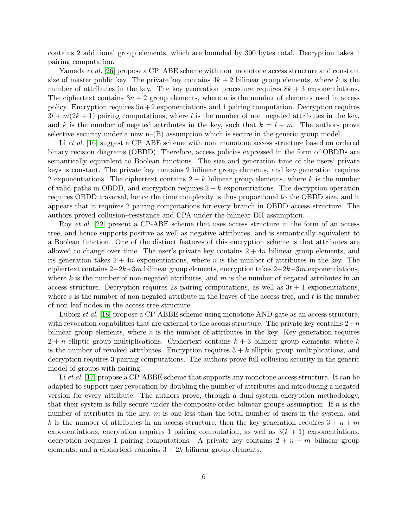contains 2 additional group elements, which are bounded by 300 bytes total. Decryption takes 1 pairing computation.

Yamada *et al.* [\[26\]](#page-18-1) propose a CP–ABE scheme with non–monotone access structure and constant size of master public key. The private key contains  $4k + 2$  bilinear group elements, where k is the number of attributes in the key. The key generation procedure requires  $8k + 3$  exponentiations. The ciphertext contains  $3n + 2$  group elements, where n is the number of elements used in access policy. Encryption requires  $5n+2$  exponentiations and 1 pairing computation. Decryption requires  $3l + m(2k + 1)$  pairing computations, where l is the number of non-negated attributes in the key, and k is the number of negated attributes in the key, such that  $k = l + m$ . The authors prove selective security under a new  $n-(B)$  assumption which is secure in the generic group model.

Li *et al.* [\[16\]](#page-18-2) suggest a CP–ABE scheme with non–monotone access structure based on ordered binary recision diagrams (OBDD). Therefore, access policies expressed in the form of OBDDs are semantically equivalent to Boolean functions. The size and generation time of the users' private keys is constant. The private key contains 2 bilinear group elements, and key generation requires 2 exponentiations. The ciphertext contains  $2 + k$  bilinear group elements, where k is the number of valid paths in OBDD, and encryption requires  $2 + k$  exponentiations. The decryption operation requires OBDD traversal, hence the time complexity is thus proportional to the OBDD size, and it appears that it requires 2 pairing computations for every branch in OBDD access structure. The authors proved collusion–resistance and CPA under the bilinear DH assumption.

Roy *et al.* [\[22\]](#page-18-3) present a CP-ABE scheme that uses access structure in the form of an access tree, and hence supports positive as well as negative attributes, and is semantically equivalent to a Boolean function. One of the distinct features of this encryption scheme is that attributes are allowed to change over time. The user's private key contains  $2 + 4n$  bilinear group elements, and its generation takes  $2 + 4n$  exponentiations, where n is the number of attributes in the key. The ciphertext contains  $2+2k+3m$  bilinear group elements, encryption takes  $2+2k+3m$  exponentiations, where k is the number of non-negated attributes, and  $m$  is the number of negated attributes in an access structure. Decryption requires 2s pairing computations, as well as  $3t + 1$  exponentiations, where s is the number of non-negated attribute in the leaves of the access tree, and t is the number of non-leaf nodes in the access tree structure.

Lubicz *et al.* [\[18\]](#page-18-4) propose a CP-ABBE scheme using monotone AND-gate as an access structure, with revocation capabilities that are external to the access structure. The private key contains  $2+n$ bilinear group elements, where  $n$  is the number of attributes in the key. Key generation requires  $2 + n$  elliptic group multiplications. Ciphertext contains  $k + 3$  bilinear group elements, where k is the number of revoked attributes. Encryption requires  $3 + k$  elliptic group multiplications, and decryption requires 3 pairing computations. The authors prove full collusion security in the generic model of groups with pairing.

Li *et al.* [\[17\]](#page-18-5) propose a CP-ABBE scheme that supports any monotone access structure. It can be adapted to support user revocation by doubling the number of attributes and introducing a negated version for every attribute. The authors prove, through a dual system encryption methodology, that their system is fully-secure under the composite order bilinear groups assumption. If  $n$  is the number of attributes in the key,  $m$  is one less than the total number of users in the system, and k is the number of attributes in an access structure, then the key generation requires  $3 + n + m$ exponentiations, encryption requires 1 pairing computation, as well as  $3(k + 1)$  exponentiations, decryption requires 1 pairing computations. A private key contains  $2 + n + m$  bilinear group elements, and a ciphertext contains  $3 + 2k$  bilinear group elements.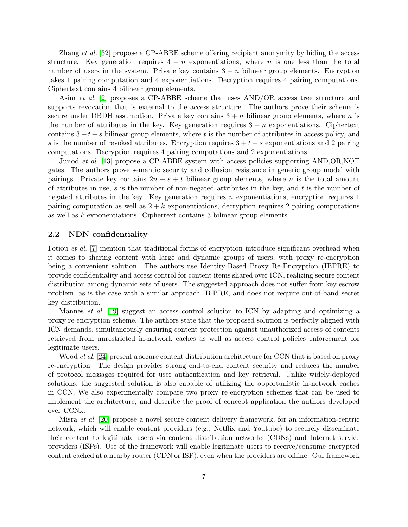Zhang *et al.* [\[32\]](#page-19-2) propose a CP-ABBE scheme offering recipient anonymity by hiding the access structure. Key generation requires  $4 + n$  exponentiations, where n is one less than the total number of users in the system. Private key contains  $3 + n$  bilinear group elements. Encryption takes 1 pairing computation and 4 exponentiations. Decryption requires 4 pairing computations. Ciphertext contains 4 bilinear group elements.

Asim *et al.* [\[2\]](#page-16-0) proposes a CP-ABBE scheme that uses AND/OR access tree structure and supports revocation that is external to the access structure. The authors prove their scheme is secure under DBDH assumption. Private key contains  $3 + n$  bilinear group elements, where n is the number of attributes in the key. Key generation requires  $3 + n$  exponentiations. Ciphertext contains  $3 + t + s$  bilinear group elements, where t is the number of attributes in access policy, and s is the number of revoked attributes. Encryption requires  $3 + t + s$  exponentiations and 2 pairing computations. Decryption requires 4 pairing computations and 2 exponentiations.

Junod *et al.* [\[13\]](#page-17-3) propose a CP-ABBE system with access policies supporting AND,OR,NOT gates. The authors prove semantic security and collusion resistance in generic group model with pairings. Private key contains  $2n + s + t$  bilinear group elements, where n is the total amount of attributes in use, s is the number of non-negated attributes in the key, and t is the number of negated attributes in the key. Key generation requires  $n$  exponentiations, encryption requires 1 pairing computation as well as  $2 + k$  exponentiations, decryption requires 2 pairing computations as well as  $k$  exponentiations. Ciphertext contains 3 bilinear group elements.

#### 2.2 NDN confidentiality

Fotiou *et al.* [\[7\]](#page-17-4) mention that traditional forms of encryption introduce significant overhead when it comes to sharing content with large and dynamic groups of users, with proxy re-encryption being a convenient solution. The authors use Identity-Based Proxy Re-Encryption (IBPRE) to provide confidentiality and access control for content items shared over ICN, realizing secure content distribution among dynamic sets of users. The suggested approach does not suffer from key escrow problem, as is the case with a similar approach IB-PRE, and does not require out-of-band secret key distribution.

Mannes *et al.* [\[19\]](#page-18-6) suggest an access control solution to ICN by adapting and optimizing a proxy re-encryption scheme. The authors state that the proposed solution is perfectly aligned with ICN demands, simultaneously ensuring content protection against unauthorized access of contents retrieved from unrestricted in-network caches as well as access control policies enforcement for legitimate users.

Wood *et al.* [\[24\]](#page-18-7) present a secure content distribution architecture for CCN that is based on proxy re-encryption. The design provides strong end-to-end content security and reduces the number of protocol messages required for user authentication and key retrieval. Unlike widely-deployed solutions, the suggested solution is also capable of utilizing the opportunistic in-network caches in CCN. We also experimentally compare two proxy re-encryption schemes that can be used to implement the architecture, and describe the proof of concept application the authors developed over CCNx.

Misra *et al.* [\[20\]](#page-18-8) propose a novel secure content delivery framework, for an information-centric network, which will enable content providers (e.g., Netflix and Youtube) to securely disseminate their content to legitimate users via content distribution networks (CDNs) and Internet service providers (ISPs). Use of the framework will enable legitimate users to receive/consume encrypted content cached at a nearby router (CDN or ISP), even when the providers are offline. Our framework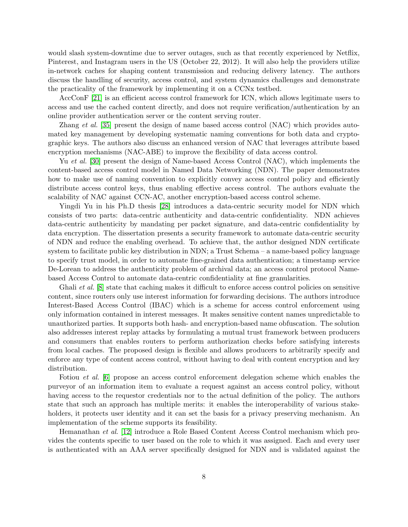would slash system-downtime due to server outages, such as that recently experienced by Netflix, Pinterest, and Instagram users in the US (October 22, 2012). It will also help the providers utilize in-network caches for shaping content transmission and reducing delivery latency. The authors discuss the handling of security, access control, and system dynamics challenges and demonstrate the practicality of the framework by implementing it on a CCNx testbed.

AccConF [\[21\]](#page-18-9) is an efficient access control framework for ICN, which allows legitimate users to access and use the cached content directly, and does not require verification/authentication by an online provider authentication server or the content serving router.

Zhang *et al.* [\[35\]](#page-19-3) present the design of name based access control (NAC) which provides automated key management by developing systematic naming conventions for both data and cryptographic keys. The authors also discuss an enhanced version of NAC that leverages attribute based encryption mechanisms (NAC-ABE) to improve the flexibility of data access control.

Yu *et al.* [\[30\]](#page-19-4) present the design of Name-based Access Control (NAC), which implements the content-based access control model in Named Data Networking (NDN). The paper demonstrates how to make use of naming convention to explicitly convey access control policy and efficiently distribute access control keys, thus enabling effective access control. The authors evaluate the scalability of NAC against CCN-AC, another encryption-based access control scheme.

Yingdi Yu in his Ph.D thesis [\[28\]](#page-19-5) introduces a data-centric security model for NDN which consists of two parts: data-centric authenticity and data-centric confidentiality. NDN achieves data-centric authenticity by mandating per packet signature, and data-centric confidentiality by data encryption. The dissertation presents a security framework to automate data-centric security of NDN and reduce the enabling overhead. To achieve that, the author designed NDN certificate system to facilitate public key distribution in NDN; a Trust Schema – a name-based policy language to specify trust model, in order to automate fine-grained data authentication; a timestamp service De-Lorean to address the authenticity problem of archival data; an access control protocol Namebased Access Control to automate data-centric confidentiality at fine granularities.

Ghali *et al.* [\[8\]](#page-17-5) state that caching makes it difficult to enforce access control policies on sensitive content, since routers only use interest information for forwarding decisions. The authors introduce Interest-Based Access Control (IBAC) which is a scheme for access control enforcement using only information contained in interest messages. It makes sensitive content names unpredictable to unauthorized parties. It supports both hash- and encryption-based name obfuscation. The solution also addresses interest replay attacks by formulating a mutual trust framework between producers and consumers that enables routers to perform authorization checks before satisfying interests from local caches. The proposed design is flexible and allows producers to arbitrarily specify and enforce any type of content access control, without having to deal with content encryption and key distribution.

Fotiou *et al.* [\[6\]](#page-17-6) propose an access control enforcement delegation scheme which enables the purveyor of an information item to evaluate a request against an access control policy, without having access to the requestor credentials nor to the actual definition of the policy. The authors state that such an approach has multiple merits: it enables the interoperability of various stakeholders, it protects user identity and it can set the basis for a privacy preserving mechanism. An implementation of the scheme supports its feasibility.

Hemanathan *et al.* [\[12\]](#page-17-7) introduce a Role Based Content Access Control mechanism which provides the contents specific to user based on the role to which it was assigned. Each and every user is authenticated with an AAA server specifically designed for NDN and is validated against the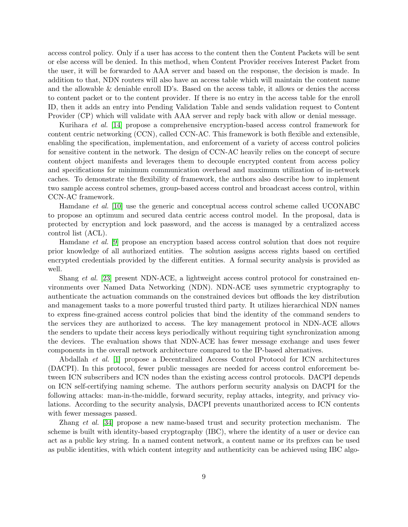access control policy. Only if a user has access to the content then the Content Packets will be sent or else access will be denied. In this method, when Content Provider receives Interest Packet from the user, it will be forwarded to AAA server and based on the response, the decision is made. In addition to that, NDN routers will also have an access table which will maintain the content name and the allowable & deniable enroll ID's. Based on the access table, it allows or denies the access to content packet or to the content provider. If there is no entry in the access table for the enroll ID, then it adds an entry into Pending Validation Table and sends validation request to Content Provider (CP) which will validate with AAA server and reply back with allow or denial message.

Kurihara *et al.* [\[14\]](#page-18-10) propose a comprehensive encryption-based access control framework for content centric networking (CCN), called CCN-AC. This framework is both flexible and extensible, enabling the specification, implementation, and enforcement of a variety of access control policies for sensitive content in the network. The design of CCN-AC heavily relies on the concept of secure content object manifests and leverages them to decouple encrypted content from access policy and specifications for minimum communication overhead and maximum utilization of in-network caches. To demonstrate the flexibility of framework, the authors also describe how to implement two sample access control schemes, group-based access control and broadcast access control, within CCN-AC framework.

Hamdane *et al.* [\[10\]](#page-17-8) use the generic and conceptual access control scheme called UCONABC to propose an optimum and secured data centric access control model. In the proposal, data is protected by encryption and lock password, and the access is managed by a centralized access control list (ACL).

Hamdane *et al.* [\[9\]](#page-17-9) propose an encryption based access control solution that does not require prior knowledge of all authorized entities. The solution assigns access rights based on certified encrypted credentials provided by the different entities. A formal security analysis is provided as well.

Shang *et al.* [\[23\]](#page-18-11) present NDN-ACE, a lightweight access control protocol for constrained environments over Named Data Networking (NDN). NDN-ACE uses symmetric cryptography to authenticate the actuation commands on the constrained devices but offloads the key distribution and management tasks to a more powerful trusted third party. It utilizes hierarchical NDN names to express fine-grained access control policies that bind the identity of the command senders to the services they are authorized to access. The key management protocol in NDN-ACE allows the senders to update their access keys periodically without requiring tight synchronization among the devices. The evaluation shows that NDN-ACE has fewer message exchange and uses fewer components in the overall network architecture compared to the IP-based alternatives.

Abdallah *et al.* [\[1\]](#page-16-1) propose a Decentralized Access Control Protocol for ICN architectures (DACPI). In this protocol, fewer public messages are needed for access control enforcement between ICN subscribers and ICN nodes than the existing access control protocols. DACPI depends on ICN self-certifying naming scheme. The authors perform security analysis on DACPI for the following attacks: man-in-the-middle, forward security, replay attacks, integrity, and privacy violations. According to the security analysis, DACPI prevents unauthorized access to ICN contents with fewer messages passed.

Zhang *et al.* [\[34\]](#page-19-6) propose a new name-based trust and security protection mechanism. The scheme is built with identity-based cryptography (IBC), where the identity of a user or device can act as a public key string. In a named content network, a content name or its prefixes can be used as public identities, with which content integrity and authenticity can be achieved using IBC algo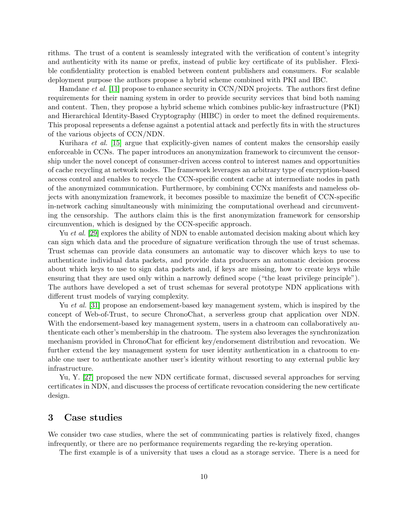rithms. The trust of a content is seamlessly integrated with the verification of content's integrity and authenticity with its name or prefix, instead of public key certificate of its publisher. Flexible confidentiality protection is enabled between content publishers and consumers. For scalable deployment purpose the authors propose a hybrid scheme combined with PKI and IBC.

Hamdane *et al.* [\[11\]](#page-17-10) propose to enhance security in CCN/NDN projects. The authors first define requirements for their naming system in order to provide security services that bind both naming and content. Then, they propose a hybrid scheme which combines public-key infrastructure (PKI) and Hierarchical Identity-Based Cryptography (HIBC) in order to meet the defined requirements. This proposal represents a defense against a potential attack and perfectly fits in with the structures of the various objects of CCN/NDN.

Kurihara *et al.* [\[15\]](#page-18-12) argue that explicitly-given names of content makes the censorship easily enforceable in CCNs. The paper introduces an anonymization framework to circumvent the censorship under the novel concept of consumer-driven access control to interest names and opportunities of cache recycling at network nodes. The framework leverages an arbitrary type of encryption-based access control and enables to recycle the CCN-specific content cache at intermediate nodes in path of the anonymized communication. Furthermore, by combining CCNx manifests and nameless objects with anonymization framework, it becomes possible to maximize the benefit of CCN-specific in-network caching simultaneously with minimizing the computational overhead and circumventing the censorship. The authors claim this is the first anonymization framework for censorship circumvention, which is designed by the CCN-specific approach.

Yu *et al.* [\[29\]](#page-19-7) explores the ability of NDN to enable automated decision making about which key can sign which data and the procedure of signature verification through the use of trust schemas. Trust schemas can provide data consumers an automatic way to discover which keys to use to authenticate individual data packets, and provide data producers an automatic decision process about which keys to use to sign data packets and, if keys are missing, how to create keys while ensuring that they are used only within a narrowly defined scope ("the least privilege principle"). The authors have developed a set of trust schemas for several prototype NDN applications with different trust models of varying complexity.

Yu *et al.* [\[31\]](#page-19-8) propose an endorsement-based key management system, which is inspired by the concept of Web-of-Trust, to secure ChronoChat, a serverless group chat application over NDN. With the endorsement-based key management system, users in a chatroom can collaboratively authenticate each other's membership in the chatroom. The system also leverages the synchronization mechanism provided in ChronoChat for efficient key/endorsement distribution and revocation. We further extend the key management system for user identity authentication in a chatroom to enable one user to authenticate another user's identity without resorting to any external public key infrastructure.

Yu, Y. [\[27\]](#page-19-9) proposed the new NDN certificate format, discussed several approaches for serving certificates in NDN, and discusses the process of certificate revocation considering the new certificate design.

### 3 Case studies

We consider two case studies, where the set of communicating parties is relatively fixed, changes infrequently, or there are no performance requirements regarding the re-keying operation.

The first example is of a university that uses a cloud as a storage service. There is a need for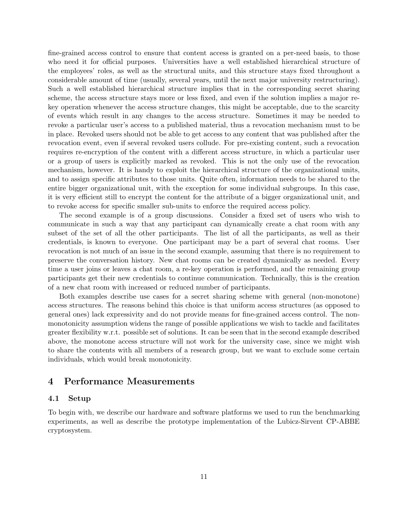fine-grained access control to ensure that content access is granted on a per-need basis, to those who need it for official purposes. Universities have a well established hierarchical structure of the employees' roles, as well as the structural units, and this structure stays fixed throughout a considerable amount of time (usually, several years, until the next major university restructuring). Such a well established hierarchical structure implies that in the corresponding secret sharing scheme, the access structure stays more or less fixed, and even if the solution implies a major rekey operation whenever the access structure changes, this might be acceptable, due to the scarcity of events which result in any changes to the access structure. Sometimes it may be needed to revoke a particular user's access to a published material, thus a revocation mechanism must to be in place. Revoked users should not be able to get access to any content that was published after the revocation event, even if several revoked users collude. For pre-existing content, such a revocation requires re-encryption of the content with a different access structure, in which a particular user or a group of users is explicitly marked as revoked. This is not the only use of the revocation mechanism, however. It is handy to exploit the hierarchical structure of the organizational units, and to assign specific attributes to those units. Quite often, information needs to be shared to the entire bigger organizational unit, with the exception for some individual subgroups. In this case, it is very efficient still to encrypt the content for the attribute of a bigger organizational unit, and to revoke access for specific smaller sub-units to enforce the required access policy.

The second example is of a group discussions. Consider a fixed set of users who wish to communicate in such a way that any participant can dynamically create a chat room with any subset of the set of all the other participants. The list of all the participants, as well as their credentials, is known to everyone. One participant may be a part of several chat rooms. User revocation is not much of an issue in the second example, assuming that there is no requirement to preserve the conversation history. New chat rooms can be created dynamically as needed. Every time a user joins or leaves a chat room, a re-key operation is performed, and the remaining group participants get their new credentials to continue communication. Technically, this is the creation of a new chat room with increased or reduced number of participants.

Both examples describe use cases for a secret sharing scheme with general (non-monotone) access structures. The reasons behind this choice is that uniform access structures (as opposed to general ones) lack expressivity and do not provide means for fine-grained access control. The nonmonotonicity assumption widens the range of possible applications we wish to tackle and facilitates greater flexibility w.r.t. possible set of solutions. It can be seen that in the second example described above, the monotone access structure will not work for the university case, since we might wish to share the contents with all members of a research group, but we want to exclude some certain individuals, which would break monotonicity.

## 4 Performance Measurements

### 4.1 Setup

To begin with, we describe our hardware and software platforms we used to run the benchmarking experiments, as well as describe the prototype implementation of the Lubicz-Sirvent CP-ABBE cryptosystem.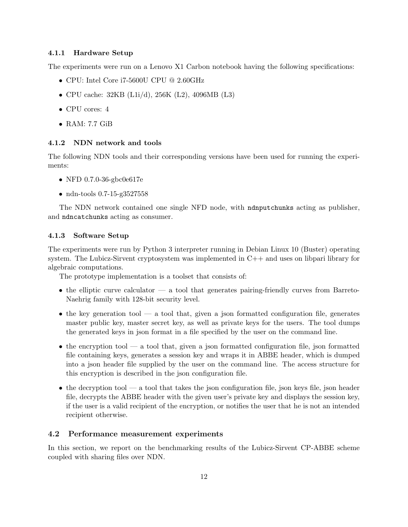#### 4.1.1 Hardware Setup

The experiments were run on a Lenovo X1 Carbon notebook having the following specifications:

- CPU: Intel Core i7-5600U CPU @ 2.60GHz
- CPU cache: 32KB (L1i/d), 256K (L2), 4096MB (L3)
- CPU cores: 4
- RAM: 7.7 GiB

#### 4.1.2 NDN network and tools

The following NDN tools and their corresponding versions have been used for running the experiments:

- NFD 0.7.0-36-gbc0e617e
- ndn-tools 0.7-15-g3527558

The NDN network contained one single NFD node, with ndnputchunks acting as publisher, and ndncatchunks acting as consumer.

#### 4.1.3 Software Setup

The experiments were run by Python 3 interpreter running in Debian Linux 10 (Buster) operating system. The Lubicz-Sirvent cryptosystem was implemented in  $C++$  and uses on libpari library for algebraic computations.

The prototype implementation is a toolset that consists of:

- the elliptic curve calculator a tool that generates pairing-friendly curves from Barreto-Naehrig family with 128-bit security level.
- the key generation tool a tool that, given a json formatted configuration file, generates master public key, master secret key, as well as private keys for the users. The tool dumps the generated keys in json format in a file specified by the user on the command line.
- the encryption tool a tool that, given a json formatted configuration file, json formatted file containing keys, generates a session key and wraps it in ABBE header, which is dumped into a json header file supplied by the user on the command line. The access structure for this encryption is described in the json configuration file.
- $\bullet$  the decryption tool a tool that takes the json configuration file, json keys file, json header file, decrypts the ABBE header with the given user's private key and displays the session key, if the user is a valid recipient of the encryption, or notifies the user that he is not an intended recipient otherwise.

### 4.2 Performance measurement experiments

In this section, we report on the benchmarking results of the Lubicz-Sirvent CP-ABBE scheme coupled with sharing files over NDN.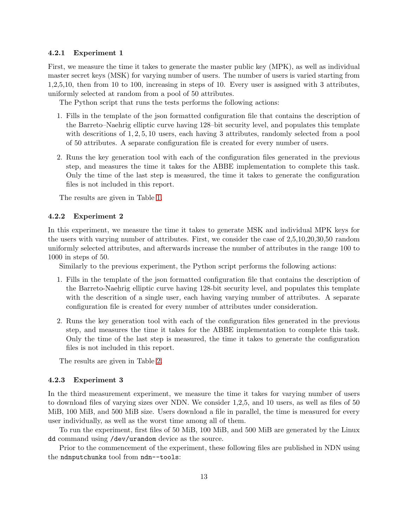#### 4.2.1 Experiment 1

First, we measure the time it takes to generate the master public key (MPK), as well as individual master secret keys (MSK) for varying number of users. The number of users is varied starting from 1,2,5,10, then from 10 to 100, increasing in steps of 10. Every user is assigned with 3 attributes, uniformly selected at random from a pool of 50 attributes.

The Python script that runs the tests performs the following actions:

- 1. Fills in the template of the json formatted configuration file that contains the description of the Barreto–Naehrig elliptic curve having 128–bit security level, and populates this template with descritions of 1, 2, 5, 10 users, each having 3 attributes, randomly selected from a pool of 50 attributes. A separate configuration file is created for every number of users.
- 2. Runs the key generation tool with each of the configuration files generated in the previous step, and measures the time it takes for the ABBE implementation to complete this task. Only the time of the last step is measured, the time it takes to generate the configuration files is not included in this report.

The results are given in Table [1.](#page-13-0)

#### 4.2.2 Experiment 2

In this experiment, we measure the time it takes to generate MSK and individual MPK keys for the users with varying number of attributes. First, we consider the case of 2,5,10,20,30,50 random uniformly selected attributes, and afterwards increase the number of attributes in the range 100 to 1000 in steps of 50.

Similarly to the previous experiment, the Python script performs the following actions:

- 1. Fills in the template of the json formatted configuration file that contains the description of the Barreto-Naehrig elliptic curve having 128-bit security level, and populates this template with the descrition of a single user, each having varying number of attributes. A separate configuration file is created for every number of attributes under consideration.
- 2. Runs the key generation tool with each of the configuration files generated in the previous step, and measures the time it takes for the ABBE implementation to complete this task. Only the time of the last step is measured, the time it takes to generate the configuration files is not included in this report.

The results are given in Table [2.](#page-14-0)

#### 4.2.3 Experiment 3

In the third measurement experiment, we measure the time it takes for varying number of users to download files of varying sizes over NDN. We consider 1,2,5, and 10 users, as well as files of 50 MiB, 100 MiB, and 500 MiB size. Users download a file in parallel, the time is measured for every user individually, as well as the worst time among all of them.

To run the experiment, first files of 50 MiB, 100 MiB, and 500 MiB are generated by the Linux dd command using /dev/urandom device as the source.

Prior to the commencement of the experiment, these following files are published in NDN using the ndnputchunks tool from ndn--tools: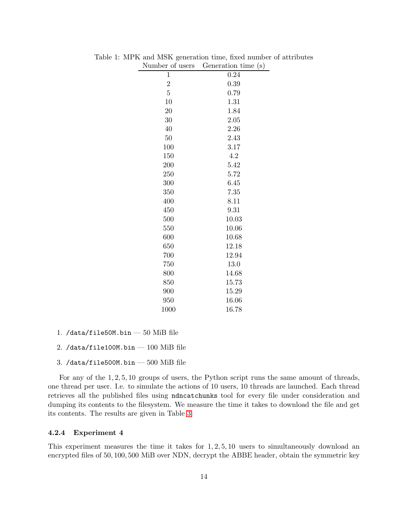<span id="page-13-0"></span>

| Number of users  | Generation time (s) |
|------------------|---------------------|
| $\mathbf{1}$     | 0.24                |
| $\boldsymbol{2}$ | 0.39                |
| $\overline{5}$   | 0.79                |
| 10               | 1.31                |
| 20               | 1.84                |
| 30               | 2.05                |
| 40               | 2.26                |
| 50               | 2.43                |
| 100              | 3.17                |
| 150              | 4.2                 |
| 200              | 5.42                |
| 250              | 5.72                |
| 300              | 6.45                |
| 350              | 7.35                |
| 400              | 8.11                |
| 450              | 9.31                |
| 500              | 10.03               |
| 550              | 10.06               |
| 600              | 10.68               |
| 650              | 12.18               |
| 700              | 12.94               |
| 750              | 13.0                |
| 800              | 14.68               |
| 850              | 15.73               |
| 900              | 15.29               |
| 950              | 16.06               |
| 1000             | 16.78               |

Table 1: MPK and MSK generation time, fixed number of attributes

- 1. /data/file50M.bin  $-50$  MiB file
- 2. /data/file100M.bin  $-$  100 MiB file
- 3. /data/file500M.bin  $-$  500 MiB file

For any of the 1, 2, 5, 10 groups of users, the Python script runs the same amount of threads, one thread per user. I.e. to simulate the actions of 10 users, 10 threads are launched. Each thread retrieves all the published files using ndncatchunks tool for every file under consideration and dumping its contents to the filesystem. We measure the time it takes to download the file and get its contents. The results are given in Table [3.](#page-15-0)

#### 4.2.4 Experiment 4

This experiment measures the time it takes for  $1, 2, 5, 10$  users to simultaneously download an encrypted files of 50, 100, 500 MiB over NDN, decrypt the ABBE header, obtain the symmetric key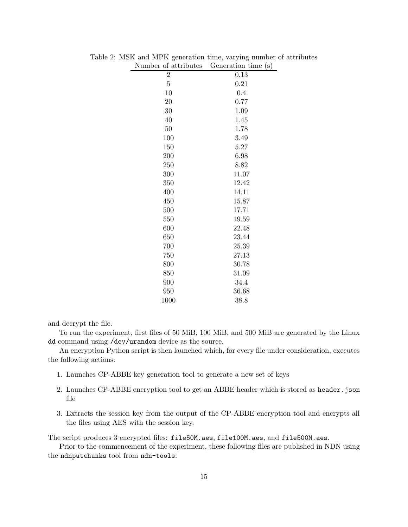<span id="page-14-0"></span>

| Number of attributes | Generation time (s) |
|----------------------|---------------------|
| $\overline{2}$       | 0.13                |
| $\overline{5}$       | 0.21                |
| 10                   | 0.4                 |
| 20                   | 0.77                |
| 30                   | 1.09                |
| 40                   | 1.45                |
| $50\,$               | 1.78                |
| 100                  | 3.49                |
| 150                  | 5.27                |
| 200                  | 6.98                |
| 250                  | 8.82                |
| 300                  | 11.07               |
| 350                  | 12.42               |
| 400                  | 14.11               |
| 450                  | 15.87               |
| 500                  | 17.71               |
| 550                  | 19.59               |
| 600                  | 22.48               |
| 650                  | 23.44               |
| 700                  | 25.39               |
| 750                  | 27.13               |
| 800                  | 30.78               |
| 850                  | 31.09               |
| 900                  | 34.4                |
| 950                  | 36.68               |
| 1000                 | 38.8                |

Table 2: MSK and MPK generation time, varying number of attributes

and decrypt the file.

To run the experiment, first files of 50 MiB, 100 MiB, and 500 MiB are generated by the Linux dd command using /dev/urandom device as the source.

An encryption Python script is then launched which, for every file under consideration, executes the following actions:

- 1. Launches CP-ABBE key generation tool to generate a new set of keys
- 2. Launches CP-ABBE encryption tool to get an ABBE header which is stored as header.json file
- 3. Extracts the session key from the output of the CP-ABBE encryption tool and encrypts all the files using AES with the session key.

The script produces 3 encrypted files: file50M.aes, file100M.aes, and file500M.aes.

Prior to the commencement of the experiment, these following files are published in NDN using the ndnputchunks tool from ndn-tools: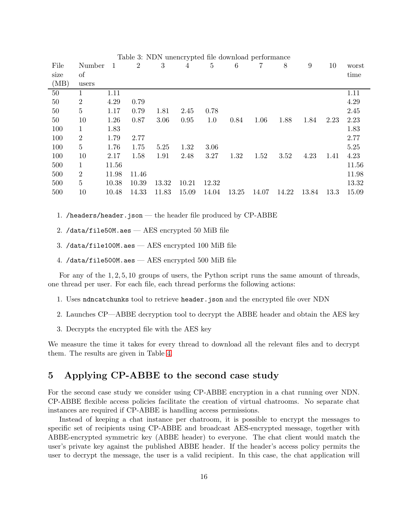| Table 3: NDN unencrypted file download performance |                |       |                |       |       |                |       |       |       |       |      |       |
|----------------------------------------------------|----------------|-------|----------------|-------|-------|----------------|-------|-------|-------|-------|------|-------|
| File                                               | Number         | 1     | $\overline{2}$ | 3     | 4     | $\overline{5}$ | 6     | 7     | 8     | 9     | 10   | worst |
| size                                               | of             |       |                |       |       |                |       |       |       |       |      | time  |
| (MB)                                               | users          |       |                |       |       |                |       |       |       |       |      |       |
| 50                                                 |                | 1.11  |                |       |       |                |       |       |       |       |      | 1.11  |
| 50                                                 | $\overline{2}$ | 4.29  | 0.79           |       |       |                |       |       |       |       |      | 4.29  |
| $50\,$                                             | 5              | 1.17  | 0.79           | 1.81  | 2.45  | 0.78           |       |       |       |       |      | 2.45  |
| 50                                                 | 10             | 1.26  | 0.87           | 3.06  | 0.95  | 1.0            | 0.84  | 1.06  | 1.88  | 1.84  | 2.23 | 2.23  |
| 100                                                | $\mathbf 1$    | 1.83  |                |       |       |                |       |       |       |       |      | 1.83  |
| 100                                                | $\overline{2}$ | 1.79  | 2.77           |       |       |                |       |       |       |       |      | 2.77  |
| 100                                                | 5              | 1.76  | 1.75           | 5.25  | 1.32  | 3.06           |       |       |       |       |      | 5.25  |
| 100                                                | 10             | 2.17  | 1.58           | 1.91  | 2.48  | 3.27           | 1.32  | 1.52  | 3.52  | 4.23  | 1.41 | 4.23  |
| 500                                                | $\mathbf{1}$   | 11.56 |                |       |       |                |       |       |       |       |      | 11.56 |
| 500                                                | $\overline{2}$ | 11.98 | 11.46          |       |       |                |       |       |       |       |      | 11.98 |
| 500                                                | $\overline{5}$ | 10.38 | 10.39          | 13.32 | 10.21 | 12.32          |       |       |       |       |      | 13.32 |
| 500                                                | 10             | 10.48 | 14.33          | 11.83 | 15.09 | 14.04          | 13.25 | 14.07 | 14.22 | 13.84 | 13.3 | 15.09 |
|                                                    |                |       |                |       |       |                |       |       |       |       |      |       |

<span id="page-15-0"></span>Table 3: NDN unencrypted file download performance

- 1. /headers/header.json the header file produced by CP-ABBE
- 2. /data/file50M.aes AES encrypted 50 MiB file
- 3. /data/file100M.aes AES encrypted 100 MiB file
- 4. /data/file500M.aes AES encrypted 500 MiB file

For any of the 1, 2, 5, 10 groups of users, the Python script runs the same amount of threads, one thread per user. For each file, each thread performs the following actions:

- 1. Uses ndncatchunks tool to retrieve header.json and the encrypted file over NDN
- 2. Launches CP—ABBE decryption tool to decrypt the ABBE header and obtain the AES key
- 3. Decrypts the encrypted file with the AES key

We measure the time it takes for every thread to download all the relevant files and to decrypt them. The results are given in Table [4.](#page-16-2)

### 5 Applying CP-ABBE to the second case study

For the second case study we consider using CP-ABBE encryption in a chat running over NDN. CP-ABBE flexible access policies facilitate the creation of virtual chatrooms. No separate chat instances are required if CP-ABBE is handling access permissions.

Instead of keeping a chat instance per chatroom, it is possible to encrypt the messages to specific set of recipients using CP-ABBE and broadcast AES-encrypted message, together with ABBE-encrypted symmetric key (ABBE header) to everyone. The chat client would match the user's private key against the published ABBE header. If the header's access policy permits the user to decrypt the message, the user is a valid recipient. In this case, the chat application will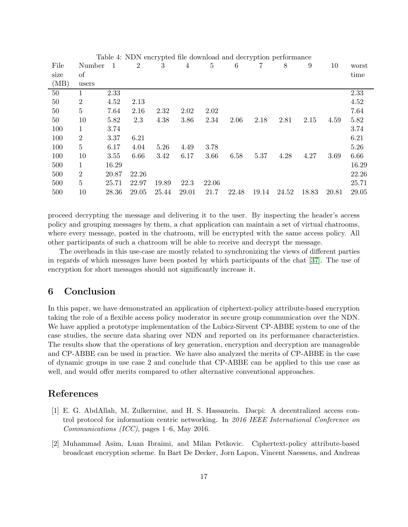<span id="page-16-2"></span>

| Table 4: NDN encrypted file download and decryption performance |                |       |       |       |       |       |       |       |       |       |       |       |
|-----------------------------------------------------------------|----------------|-------|-------|-------|-------|-------|-------|-------|-------|-------|-------|-------|
| File                                                            | Number         | -1    | 2     | 3     | 4     | 5     | 6     | 7     | 8     | 9     | 10    | worst |
| size                                                            | of             |       |       |       |       |       |       |       |       |       |       | time  |
| (MB)                                                            | users          |       |       |       |       |       |       |       |       |       |       |       |
| 50                                                              |                | 2.33  |       |       |       |       |       |       |       |       |       | 2.33  |
| 50                                                              | 2              | 4.52  | 2.13  |       |       |       |       |       |       |       |       | 4.52  |
| 50                                                              | $\overline{5}$ | 7.64  | 2.16  | 2.32  | 2.02  | 2.02  |       |       |       |       |       | 7.64  |
| 50                                                              | 10             | 5.82  | 2.3   | 4.38  | 3.86  | 2.34  | 2.06  | 2.18  | 2.81  | 2.15  | 4.59  | 5.82  |
| 100                                                             | $\mathbf{1}$   | 3.74  |       |       |       |       |       |       |       |       |       | 3.74  |
| 100                                                             | 2              | 3.37  | 6.21  |       |       |       |       |       |       |       |       | 6.21  |
| 100                                                             | $\overline{5}$ | 6.17  | 4.04  | 5.26  | 4.49  | 3.78  |       |       |       |       |       | 5.26  |
| 100                                                             | 10             | 3.55  | 6.66  | 3.42  | 6.17  | 3.66  | 6.58  | 5.37  | 4.28  | 4.27  | 3.69  | 6.66  |
| 500                                                             | 1              | 16.29 |       |       |       |       |       |       |       |       |       | 16.29 |
| 500                                                             | 2              | 20.87 | 22.26 |       |       |       |       |       |       |       |       | 22.26 |
| 500                                                             | $\overline{5}$ | 25.71 | 22.97 | 19.89 | 22.3  | 22.06 |       |       |       |       |       | 25.71 |
| 500                                                             | 10             | 28.36 | 29.05 | 25.44 | 29.01 | 21.7  | 22.48 | 19.14 | 24.52 | 18.83 | 20.81 | 29.05 |
|                                                                 |                |       |       |       |       |       |       |       |       |       |       |       |

proceed decrypting the message and delivering it to the user. By inspecting the header's access policy and grouping messages by them, a chat application can maintain a set of virtual chatrooms, where every message, posted in the chatroom, will be encrypted with the same access policy. All other participants of such a chatroom will be able to receive and decrypt the message.

The overheads in this use-case are mostly related to synchronizing the views of different parties in regards of which messages have been posted by which participants of the chat [\[37\]](#page-19-10). The use of encryption for short messages should not significantly increase it.

### 6 Conclusion

In this paper, we have demonstrated an application of ciphertext-policy attribute-based encryption taking the role of a flexible access policy moderator in secure group communication over the NDN. We have applied a prototype implementation of the Lubicz-Sirvent CP-ABBE system to one of the case studies, the secure data sharing over NDN and reported on its performance characteristics. The results show that the operations of key generation, encryption and decryption are manageable and CP-ABBE can be used in practice. We have also analyzed the merits of CP-ABBE in the case of dynamic groups in use case 2 and conclude that CP-ABBE can be applied to this use case as well, and would offer merits compared to other alternative conventional approaches.

### <span id="page-16-1"></span>References

- [1] E. G. AbdAllah, M. Zulkernine, and H. S. Hassanein. Dacpi: A decentralized access control protocol for information centric networking. In *2016 IEEE International Conference on Communications (ICC)*, pages 1–6, May 2016.
- <span id="page-16-0"></span>[2] Muhammad Asim, Luan Ibraimi, and Milan Petkovic. Ciphertext-policy attribute-based broadcast encryption scheme. In Bart De Decker, Jorn Lapon, Vincent Naessens, and Andreas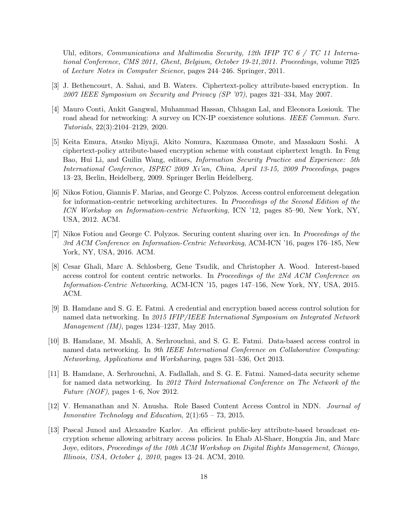Uhl, editors, *Communications and Multimedia Security, 12th IFIP TC 6 / TC 11 International Conference, CMS 2011, Ghent, Belgium, October 19-21,2011. Proceedings*, volume 7025 of *Lecture Notes in Computer Science*, pages 244–246. Springer, 2011.

- <span id="page-17-1"></span><span id="page-17-0"></span>[3] J. Bethencourt, A. Sahai, and B. Waters. Ciphertext-policy attribute-based encryption. In *2007 IEEE Symposium on Security and Privacy (SP '07)*, pages 321–334, May 2007.
- [4] Mauro Conti, Ankit Gangwal, Muhammad Hassan, Chhagan Lal, and Eleonora Losiouk. The road ahead for networking: A survey on ICN-IP coexistence solutions. *IEEE Commun. Surv. Tutorials*, 22(3):2104–2129, 2020.
- <span id="page-17-2"></span>[5] Keita Emura, Atsuko Miyaji, Akito Nomura, Kazumasa Omote, and Masakazu Soshi. A ciphertext-policy attribute-based encryption scheme with constant ciphertext length. In Feng Bao, Hui Li, and Guilin Wang, editors, *Information Security Practice and Experience: 5th International Conference, ISPEC 2009 Xi'an, China, April 13-15, 2009 Proceedings*, pages 13–23, Berlin, Heidelberg, 2009. Springer Berlin Heidelberg.
- <span id="page-17-6"></span>[6] Nikos Fotiou, Giannis F. Marias, and George C. Polyzos. Access control enforcement delegation for information-centric networking architectures. In *Proceedings of the Second Edition of the ICN Workshop on Information-centric Networking*, ICN '12, pages 85–90, New York, NY, USA, 2012. ACM.
- <span id="page-17-4"></span>[7] Nikos Fotiou and George C. Polyzos. Securing content sharing over icn. In *Proceedings of the 3rd ACM Conference on Information-Centric Networking*, ACM-ICN '16, pages 176–185, New York, NY, USA, 2016. ACM.
- <span id="page-17-5"></span>[8] Cesar Ghali, Marc A. Schlosberg, Gene Tsudik, and Christopher A. Wood. Interest-based access control for content centric networks. In *Proceedings of the 2Nd ACM Conference on Information-Centric Networking*, ACM-ICN '15, pages 147–156, New York, NY, USA, 2015. ACM.
- <span id="page-17-9"></span>[9] B. Hamdane and S. G. E. Fatmi. A credential and encryption based access control solution for named data networking. In *2015 IFIP/IEEE International Symposium on Integrated Network Management (IM)*, pages 1234–1237, May 2015.
- <span id="page-17-8"></span>[10] B. Hamdane, M. Msahli, A. Serhrouchni, and S. G. E. Fatmi. Data-based access control in named data networking. In *9th IEEE International Conference on Collaborative Computing: Networking, Applications and Worksharing*, pages 531–536, Oct 2013.
- <span id="page-17-10"></span>[11] B. Hamdane, A. Serhrouchni, A. Fadlallah, and S. G. E. Fatmi. Named-data security scheme for named data networking. In *2012 Third International Conference on The Network of the Future (NOF)*, pages 1–6, Nov 2012.
- <span id="page-17-7"></span>[12] V. Hemanathan and N. Anusha. Role Based Content Access Control in NDN. *Journal of Innovative Technology and Education*, 2(1):65 – 73, 2015.
- <span id="page-17-3"></span>[13] Pascal Junod and Alexandre Karlov. An efficient public-key attribute-based broadcast encryption scheme allowing arbitrary access policies. In Ehab Al-Shaer, Hongxia Jin, and Marc Joye, editors, *Proceedings of the 10th ACM Workshop on Digital Rights Management, Chicago, Illinois, USA, October 4, 2010*, pages 13–24. ACM, 2010.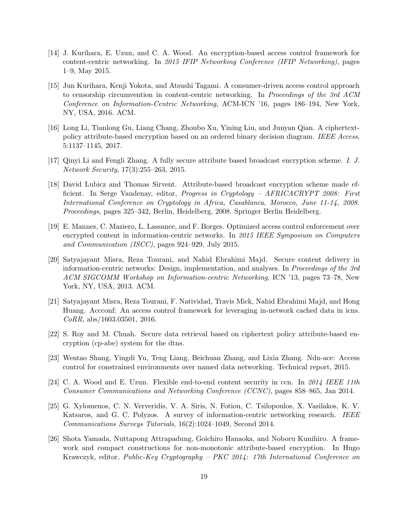- <span id="page-18-10"></span>[14] J. Kurihara, E. Uzun, and C. A. Wood. An encryption-based access control framework for content-centric networking. In *2015 IFIP Networking Conference (IFIP Networking)*, pages 1–9, May 2015.
- <span id="page-18-12"></span>[15] Jun Kurihara, Kenji Yokota, and Atsushi Tagami. A consumer-driven access control approach to censorship circumvention in content-centric networking. In *Proceedings of the 3rd ACM Conference on Information-Centric Networking*, ACM-ICN '16, pages 186–194, New York, NY, USA, 2016. ACM.
- <span id="page-18-2"></span>[16] Long Li, Tianlong Gu, Liang Chang, Zhoubo Xu, Yining Liu, and Junyan Qian. A ciphertextpolicy attribute-based encryption based on an ordered binary decision diagram. *IEEE Access*, 5:1137–1145, 2017.
- <span id="page-18-5"></span><span id="page-18-4"></span>[17] Qinyi Li and Fengli Zhang. A fully secure attribute based broadcast encryption scheme. *I. J. Network Security*, 17(3):255–263, 2015.
- [18] David Lubicz and Thomas Sirvent. Attribute-based broadcast encryption scheme made efficient. In Serge Vaudenay, editor, *Progress in Cryptology – AFRICACRYPT 2008: First International Conference on Cryptology in Africa, Casablanca, Morocco, June 11-14, 2008. Proceedings*, pages 325–342, Berlin, Heidelberg, 2008. Springer Berlin Heidelberg.
- <span id="page-18-6"></span>[19] E. Mannes, C. Maziero, L. Lassance, and F. Borges. Optimized access control enforcement over encrypted content in information-centric networks. In *2015 IEEE Symposium on Computers and Communication (ISCC)*, pages 924–929, July 2015.
- <span id="page-18-8"></span>[20] Satyajayant Misra, Reza Tourani, and Nahid Ebrahimi Majd. Secure content delivery in information-centric networks: Design, implementation, and analyses. In *Proceedings of the 3rd ACM SIGCOMM Workshop on Information-centric Networking*, ICN '13, pages 73–78, New York, NY, USA, 2013. ACM.
- <span id="page-18-9"></span>[21] Satyajayant Misra, Reza Tourani, F. Natividad, Travis Mick, Nahid Ebrahimi Majd, and Hong Huang. Accconf: An access control framework for leveraging in-network cached data in icns. *CoRR*, abs/1603.03501, 2016.
- <span id="page-18-3"></span>[22] S. Roy and M. Chuah. Secure data retrieval based on ciphertext policy attribute-based encryption (cp-abe) system for the dtns.
- <span id="page-18-11"></span><span id="page-18-7"></span>[23] Wentao Shang, Yingdi Yu, Teng Liang, Beichuan Zhang, and Lixia Zhang. Ndn-ace: Access control for constrained environments over named data networking. Technical report, 2015.
- [24] C. A. Wood and E. Uzun. Flexible end-to-end content security in ccn. In *2014 IEEE 11th Consumer Communications and Networking Conference (CCNC)*, pages 858–865, Jan 2014.
- <span id="page-18-0"></span>[25] G. Xylomenos, C. N. Ververidis, V. A. Siris, N. Fotiou, C. Tsilopoulos, X. Vasilakos, K. V. Katsaros, and G. C. Polyzos. A survey of information-centric networking research. *IEEE Communications Surveys Tutorials*, 16(2):1024–1049, Second 2014.
- <span id="page-18-1"></span>[26] Shota Yamada, Nuttapong Attrapadung, Goichiro Hanaoka, and Noboru Kunihiro. A framework and compact constructions for non-monotonic attribute-based encryption. In Hugo Krawczyk, editor, *Public-Key Cryptography – PKC 2014: 17th International Conference on*